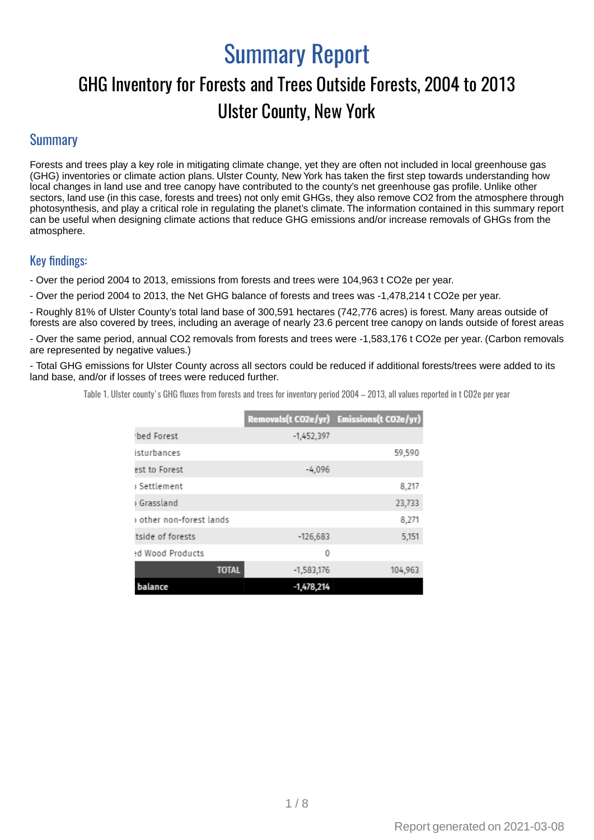# Summary Report

## GHG Inventory for Forests and Trees Outside Forests, 2004 to 2013 Ulster County, New York

#### **Summary**

Forests and trees play a key role in mitigating climate change, yet they are often not included in local greenhouse gas (GHG) inventories or climate action plans. Ulster County, New York has taken the first step towards understanding how local changes in land use and tree canopy have contributed to the county's net greenhouse gas profile. Unlike other sectors, land use (in this case, forests and trees) not only emit GHGs, they also remove CO2 from the atmosphere through photosynthesis, and play a critical role in regulating the planet's climate. The information contained in this summary report can be useful when designing climate actions that reduce GHG emissions and/or increase removals of GHGs from the atmosphere.

#### Key findings:

- Over the period 2004 to 2013, emissions from forests and trees were 104,963 t CO2e per year.

- Over the period 2004 to 2013, the Net GHG balance of forests and trees was -1,478,214 t CO2e per year.

- Roughly 81% of Ulster County's total land base of 300,591 hectares (742,776 acres) is forest. Many areas outside of forests are also covered by trees, including an average of nearly 23.6 percent tree canopy on lands outside of forest areas

- Over the same period, annual CO2 removals from forests and trees were -1,583,176 t CO2e per year. (Carbon removals are represented by negative values.)

- Total GHG emissions for Ulster County across all sectors could be reduced if additional forests/trees were added to its land base, and/or if losses of trees were reduced further.

Table 1. Ulster county's GHG fluxes from forests and trees for inventory period 2004 - 2013, all values reported in t CO2e per year

|                        |              | Removals(t CO2e/yr) Emissions(t CO2e/yr) |
|------------------------|--------------|------------------------------------------|
| rbed Forest            | $-1,452,397$ |                                          |
| isturbances            |              | 59,590                                   |
| est to Forest          | $-4,096$     |                                          |
| Settlement د           |              | 8,217                                    |
| Grassland              |              | 23,733                                   |
| other non-forest lands |              | 8,271                                    |
| tside of forests       | $-126,683$   | 5,151                                    |
| ed Wood Products       | 0            |                                          |
| <b>TOTAL</b>           | $-1,583,176$ | 104.963                                  |
| balance                | $-1,478,214$ |                                          |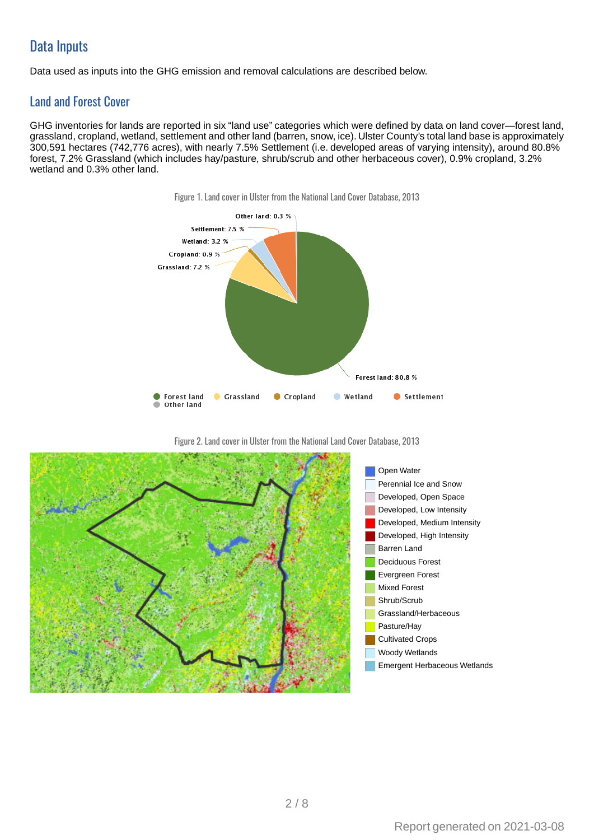## **Data Inputs**

Data used as inputs into the GHG emission and removal calculations are described below.

### Land and Forest Cover

GHG inventories for lands are reported in six "land use" categories which were defined by data on land cover—forest land, grassland, cropland, wetland, settlement and other land (barren, snow, ice). Ulster County's total land base is approximately 300,591 hectares (742,776 acres), with nearly 7.5% Settlement (i.e. developed areas of varying intensity), around 80.8% forest, 7.2% Grassland (which includes hay/pasture, shrub/scrub and other herbaceous cover), 0.9% cropland, 3.2% wetland and 0.3% other land.





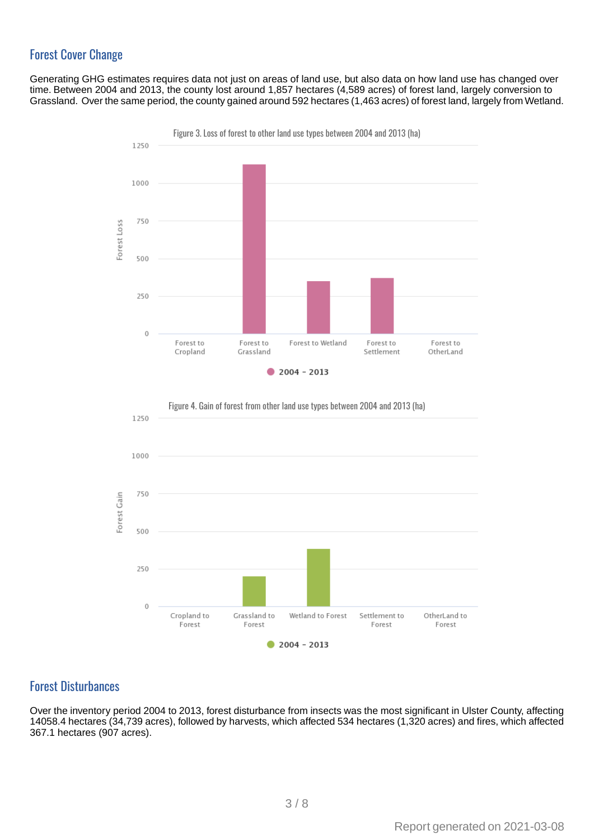### **Forest Cover Change**

Generating GHG estimates requires data not just on areas of land use, but also data on how land use has changed over time. Between 2004 and 2013, the county lost around 1,857 hectares (4,589 acres) of forest land, largely conversion to Grassland. Over the same period, the county gained around 592 hectares (1,463 acres) of forest land, largely from Wetland.





#### **Forest Disturbances**

Over the inventory period 2004 to 2013, forest disturbance from insects was the most significant in Ulster County, affecting 14058.4 hectares (34,739 acres), followed by harvests, which affected 534 hectares (1,320 acres) and fires, which affected 367.1 hectares (907 acres).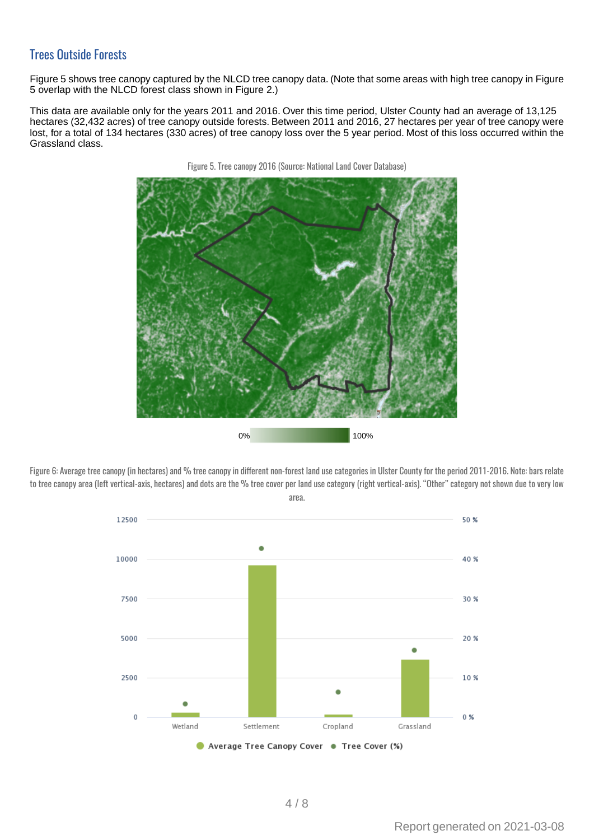#### **Trees Outside Forests**

Figure 5 shows tree canopy captured by the NLCD tree canopy data. (Note that some areas with high tree canopy in Figure 5 overlap with the NLCD forest class shown in Figure 2.)

This data are available only for the years 2011 and 2016. Over this time period, Ulster County had an average of 13,125 hectares (32,432 acres) of tree canopy outside forests. Between 2011 and 2016, 27 hectares per year of tree canopy were lost, for a total of 134 hectares (330 acres) of tree canopy loss over the 5 year period. Most of this loss occurred within the Grassland class.



Figure 5. Tree canopy 2016 (Source: National Land Cover Database)

Figure 6: Average tree canopy (in hectares) and % tree canopy in different non-forest land use categories in Ulster County for the period 2011-2016. Note: bars relate to tree canopy area (left vertical-axis, hectares) and dots are the % tree cover per land use category (right vertical-axis). "Other" category not shown due to very low area.

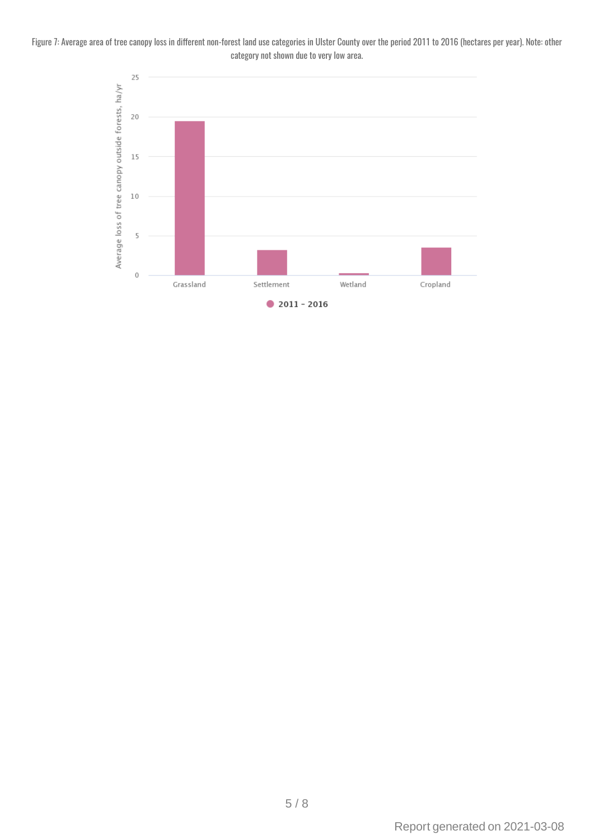Figure 7: Average area of tree canopy loss in different non-forest land use categories in Ulster County over the period 2011 to 2016 (hectares per year). Note: other category not shown due to very low area.

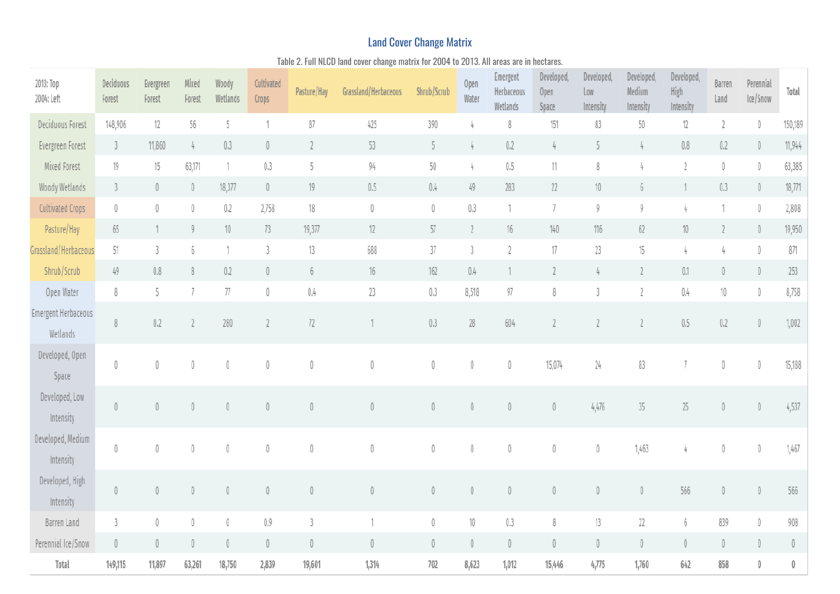## **Land Cover Change Matrix**

Table 2. Full NLCD land cover change matrix for 2004 to 2013. All areas are in hectares.

| 2013: Тор<br>2004: Left         | Deciduous<br>Forest             | Evergreen<br>Forest | Mixed<br>Forest | Woody<br>Wetlands | Cultivated<br>Crops | Pasture/Hay    | Grassland/Herbaceous | Shrub/Scrub | Open<br>Water  | Emergent<br>Herbaceous<br>Wetlands | Developed,<br>Open<br>Space | Developed,<br>Low<br>Intensity  | Developed,<br>Medium<br>Intensity | Developed,<br>High<br>Intensity | Barren<br>Land                            | Perennial<br>Ice/Snow | Total       |
|---------------------------------|---------------------------------|---------------------|-----------------|-------------------|---------------------|----------------|----------------------|-------------|----------------|------------------------------------|-----------------------------|---------------------------------|-----------------------------------|---------------------------------|-------------------------------------------|-----------------------|-------------|
| Deciduous Forest                | 148,906                         | 12                  | 56              | 5                 |                     | 87             | 425                  | 390         | 4              | 8                                  | 151                         | 83                              | 50                                | 12                              | $\overline{2}$                            | $\mathbb O$           | 150,189     |
| Evergreen Forest                | 3                               | 11,860              | 4               | 0.3               | 0                   | $\overline{2}$ | 53                   | 5           | 4              | 0.2                                | 4                           | 5                               |                                   | $0.8\,$                         | 0.2                                       | $\mathbb O$           | 11,944      |
| Mixed Forest                    | 19                              | 15                  | 63,171          |                   | 0.3                 | 5              | 94                   | 50          | 4              | 0.5                                | 11                          | 8                               |                                   |                                 | $\mathbb O$                               | 0                     | 63,385      |
| Woody Wetlands                  | 3                               | $\mathbb O$         | $\theta$        | 18,377            | $\mathbb O$         | 19             | 0.5                  | 0.4         | 49             | 283                                | $22\,$                      | $10\,$                          |                                   |                                 | 0.3                                       | $\mathbb O$           | 18,771      |
| <b>Cultivated Crops</b>         | 0                               | 0                   | 0               | 0.2               | 2,758               | 18             | 0                    | 0           | 0.3            | 1                                  | $\overline{1}$              | 9                               | Q                                 |                                 |                                           | 0                     | 2,808       |
| Pasture/Hay                     | 65                              | 1                   | 9               | 10                | 73                  | 19,377         | 12                   | 57          | $\overline{2}$ | 16                                 | 140                         | 116                             | 62                                | 10                              |                                           | $\mathbb O$           | 19,950      |
| Grassland/Herbaceous            | 51                              | 3                   | 6               |                   | 3                   | 13             | 688                  | 37          | $\overline{3}$ | $\sqrt{2}$                         | $17\,$                      | 23                              | 15                                |                                 | 4                                         | 0                     | 871         |
| Shrub/Scrub                     | 49                              | 0.8                 | 8               | 0.2               | 0                   | 6              | 16                   | 162         | 0.4            | 1                                  | $\overline{2}$              |                                 |                                   | 0.1                             | $\mathbb O$                               | $\mathbb O$           | 253         |
| Open Water                      | 8                               | 5                   |                 | 77                | 0                   | $0.4\,$        | 23                   | 0.3         | 8,518          | 97                                 | 8                           | 3                               | $\overline{2}$                    | 0.4                             | $10\,$                                    | $\mathbb O$           | 8,758       |
| Emergent Herbaceous<br>Wetlands | 8                               | $0.2\,$             |                 | 280               |                     | 72             |                      | 0.3         | $28\,$         | 604                                | $\overline{2}$              |                                 |                                   | 0.5                             | 0.2                                       | $\mathbb O$           | 1,002       |
| Developed, Open<br>Space        | 0                               | 0                   | 0               | $\theta$          |                     | $\theta$       | 0                    | 0           | 0              | $\mathbb O$                        | 15,074                      | 24                              | 83                                |                                 | $\mathbb O$                               | $\emptyset$           | 15,188      |
| Developed, Low<br>Intensity     | $\theta$                        | $\mathbb O$         | $\theta$        | 0                 |                     | 0              | $\mathbb O$          | $\mathbb O$ | $\mathbb O$    | $\mathbb O$                        | $\mathbb O$                 | 4,476                           | 35                                | $25\,$                          | $\langle$                                 | $\mathbb O$           | 4,537       |
| Developed, Medium<br>Intensity  | $\theta$                        | $\mathbb O$         | $\theta$        | $\theta$          | $\theta$            | $\overline{0}$ | 0                    | 0           | 0              | $\mathbb O$                        | $\mathbb O$                 | 0                               | 1,463                             |                                 | $\begin{smallmatrix} 0 \end{smallmatrix}$ | 0                     | 1,467       |
| Developed, High<br>Intensity    | 0                               | $\mathbb O$         | $\theta$        | $\theta$          |                     | $\theta$       | $\overline{0}$       | $\mathbb O$ | $\mathbb O$    | $\langle$                          | $\mathbb O$                 | $\theta$                        | $\overline{0}$                    | 566                             | $\langle$                                 | $\mathbb O$           | 566         |
| Barren Land                     | 3                               | $\mathbb O$         | 0               | 0                 | 0.9                 |                |                      | 0           | $10\,$         | 0.3                                | 8                           | 13                              | 22                                | 6                               | 839                                       | 0                     | 908         |
| Perennial Ice/Snow              | $\begin{matrix} 0 \end{matrix}$ | $\mathbb O$         | $\theta$        | 0                 | $\mathbb{O}$        | $\mathbf 0$    | $\mathbf 0$          | $\mathbb O$ | $\mathbb O$    | $\mathbb O$                        | $\mathbb O$                 | $\begin{matrix} 0 \end{matrix}$ | $\begin{matrix} 0 \end{matrix}$   | $\begin{matrix} 0 \end{matrix}$ | $\mathbb O$                               | $\mathbb O$           | $\mathbf 0$ |
| Total                           | 149,115                         | 11,897              | 63,261          | 18,750            | 2,839               | 19,601         | 1,314                | 702         | 8,623          | 1,012                              | 15,446                      | 4,775                           | 1,760                             | 642                             | 858                                       | $\bf{0}$              | 0           |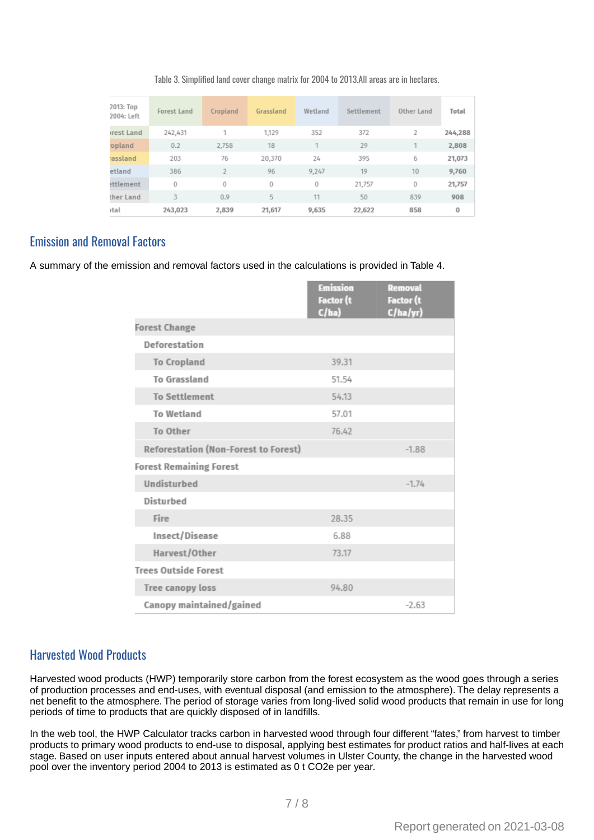#### Table 3. Simplified land cover change matrix for 2004 to 2013.All areas are in hectares.

| 2013: Тор<br>2004: Left | Forest Land | Cropland | Grassland | Wetland | Settlement | Other Land | Total   |
|-------------------------|-------------|----------|-----------|---------|------------|------------|---------|
| rest Land               | 242,431     |          | 1,129     | 352     | 372        | 2          | 244,288 |
| opland                  | 0.2         | 2,758    | 18        | ×,      | 29         |            | 2,808   |
| <b>assland</b>          | 203         | 76       | 20,370    | 24      | 395        | 6          | 21,073  |
| etland                  | 386         |          | 96        | 9,247   | 19         | 10         | 9,760   |
| ettlement               | 0           | $\circ$  | 0         | $\circ$ | 21,757     | $\circ$    | 21,757  |
| ther Land               | 3           | 0.9      | 5         | 11      | 50         | 839        | 908     |
| <b>stal</b>             | 243.023     | 2,839    | 21,617    | 9.635   | 22,622     | 858        | 0       |

#### **Emission and Removal Factors**

A summary of the emission and removal factors used in the calculations is provided in Table 4.

|                                      | <b>Emission</b><br><b>Factor (t</b><br>C/ha) | <b>Removal</b><br><b>Factor</b> (t<br>C/ha/yr) |
|--------------------------------------|----------------------------------------------|------------------------------------------------|
| <b>Forest Change</b>                 |                                              |                                                |
| Deforestation                        |                                              |                                                |
| <b>To Cropland</b>                   | 39.31                                        |                                                |
| To Grassland                         | 51.54                                        |                                                |
| <b>To Settlement</b>                 | 54.13                                        |                                                |
| <b>To Wetland</b>                    | 57.01                                        |                                                |
| To Other                             | 76.42                                        |                                                |
| Reforestation (Non-Forest to Forest) |                                              | $-1.88$                                        |
| <b>Forest Remaining Forest</b>       |                                              |                                                |
| Undisturbed                          |                                              | $-1.74$                                        |
| Disturbed                            |                                              |                                                |
| Fire                                 | 28.35                                        |                                                |
| Insect/Disease                       | 6.88                                         |                                                |
| Harvest/Other                        | 73.17                                        |                                                |
| <b>Trees Outside Forest</b>          |                                              |                                                |
| Tree canopy loss                     | 94.80                                        |                                                |
| Canopy maintained/gained             |                                              | $-2.63$                                        |

#### **Harvested Wood Products**

Harvested wood products (HWP) temporarily store carbon from the forest ecosystem as the wood goes through a series of production processes and end-uses, with eventual disposal (and emission to the atmosphere). The delay represents a net benefit to the atmosphere. The period of storage varies from long-lived solid wood products that remain in use for long periods of time to products that are quickly disposed of in landfills.

In the web tool, the HWP Calculator tracks carbon in harvested wood through four different "fates," from harvest to timber products to primary wood products to end-use to disposal, applying best estimates for product ratios and half-lives at each stage. Based on user inputs entered about annual harvest volumes in Ulster County, the change in the harvested wood pool over the inventory period 2004 to 2013 is estimated as 0 t CO2e per year.